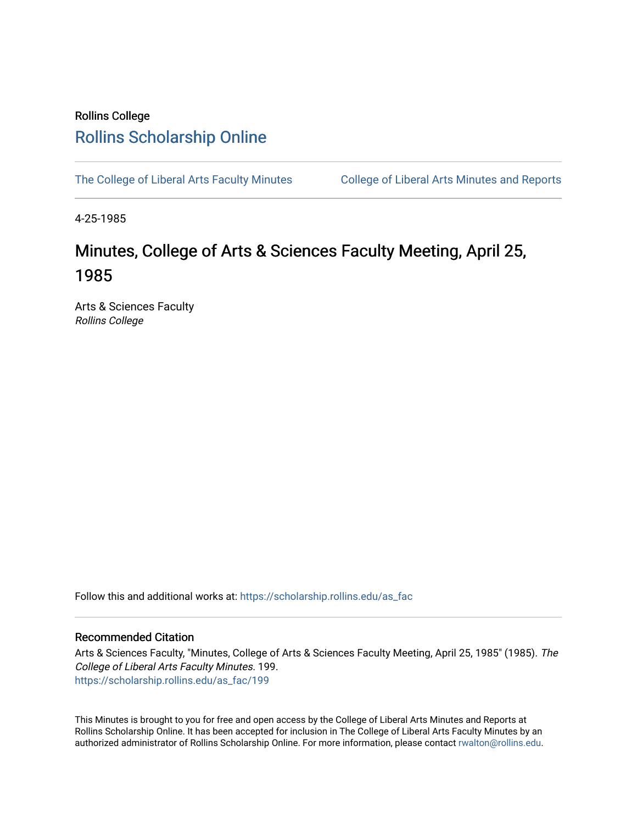## Rollins College [Rollins Scholarship Online](https://scholarship.rollins.edu/)

[The College of Liberal Arts Faculty Minutes](https://scholarship.rollins.edu/as_fac) College of Liberal Arts Minutes and Reports

4-25-1985

# Minutes, College of Arts & Sciences Faculty Meeting, April 25, 1985

Arts & Sciences Faculty Rollins College

Follow this and additional works at: [https://scholarship.rollins.edu/as\\_fac](https://scholarship.rollins.edu/as_fac?utm_source=scholarship.rollins.edu%2Fas_fac%2F199&utm_medium=PDF&utm_campaign=PDFCoverPages) 

### Recommended Citation

Arts & Sciences Faculty, "Minutes, College of Arts & Sciences Faculty Meeting, April 25, 1985" (1985). The College of Liberal Arts Faculty Minutes. 199. [https://scholarship.rollins.edu/as\\_fac/199](https://scholarship.rollins.edu/as_fac/199?utm_source=scholarship.rollins.edu%2Fas_fac%2F199&utm_medium=PDF&utm_campaign=PDFCoverPages) 

This Minutes is brought to you for free and open access by the College of Liberal Arts Minutes and Reports at Rollins Scholarship Online. It has been accepted for inclusion in The College of Liberal Arts Faculty Minutes by an authorized administrator of Rollins Scholarship Online. For more information, please contact [rwalton@rollins.edu](mailto:rwalton@rollins.edu).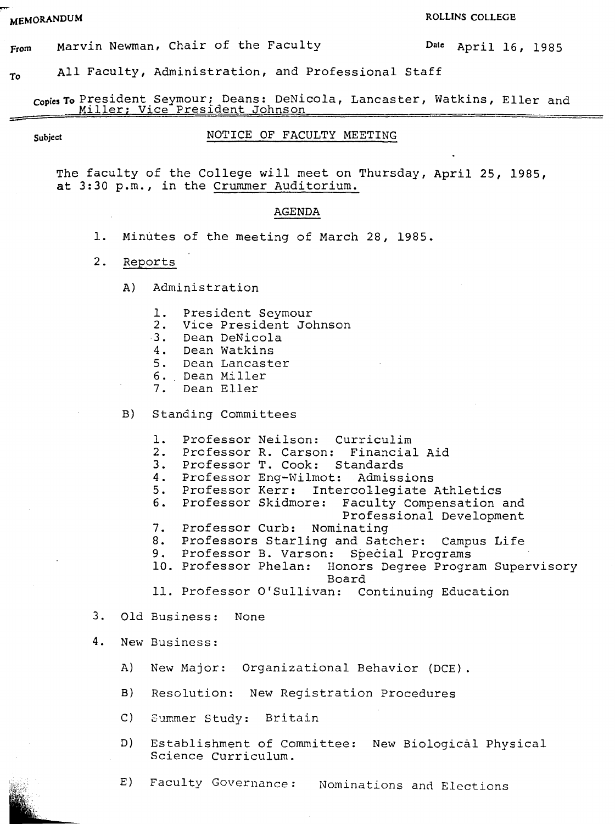**MEMORANDUM** ROLLEGE

**from**  Marvin Newman, Chair of the Faculty **Date** April 16, 1985

**To**  All Faculty, Administration, and Professional Staff

**copies To** President Seymour; Deans: DeNicola, Lancaster, Watkins, Eller and Miller; Vice President Johnson

#### Subject **NOTICE OF FACULTY MEETING**

The faculty of the College will meet on Thursday, April 25, 1985, **at** 3:30 p.m., in the Crummer Auditorium.

#### **AGENDA**

- 1. Minutes of the meeting of March 28, 1985.
- 2. Reports
	- A) Administration
		- 1. President Seymour<br>2. Vice President Jo
		- 2. Vice President Johnson
		- Dean DeNicola
		- 4. Dean Watkins
		- 5. Dean Lancaster
		- 6. Dean Miller
		- Dean Eller
	- B) Standing Committees
		- 1. Professor Neilson: Curriculim<br>2. Professor R. Carson: Financial
		- 2. Professor R. Carson: Financial Aid<br>3. Professor T. Cook: Standards
		- 3. Professor T. Cook: Standards<br>4. Professor Eng-Wilmot: Admiss
		- **4.** Professor Eng-Wilmot: Admissions
		-

5. Professor Kerr: Intercollegiate Athletics<br>6. Professor Skidmore: Faculty Compensation Faculty Compensation and

- Professional Development
- 7. Professor Curb: Nominating<br>8. Professors Starling and Sate
- 8. Professors Starling and Satcher: Campus Life
- 9. Professor B. Varson: Special Programs<br>10. Professor Phelan: Honors Degree Progra
- Honors Degree Program Supervisory Board
- 11. Professor O'Sullivan: Continuing Education
- 3. Old Business: None
- **4.** New Business:
	- A) New Major: Organizational Behavior (DCE).
	- B) Resolution: New Registration Procedures
	- C) Summer Study: Britain
	- D) Establishment of Committee: New Biological Physical Science Curriculum.
	- E) Faculty Governance: Nominations and Elections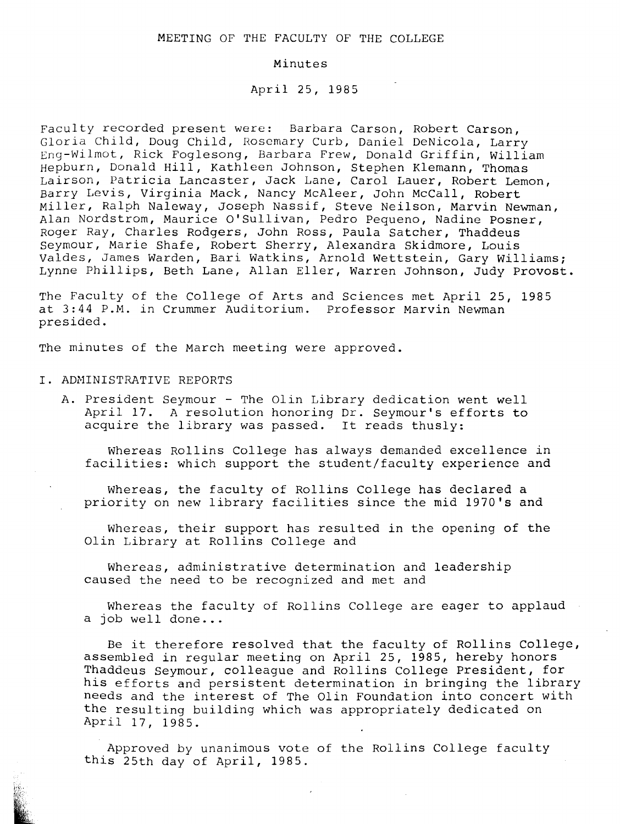#### MEETING OF THE FACULTY OF THE COLLEGE

#### Minutes

April 25, 1985

Faculty recorded present were: Barbara Carson, Robert Carson, Gloria Child, Doug Child, Rosemary Curb, Daniel DeNicola, Larry Eng-Wilmot, Rick Foglesong, Barbara Frew, Donald Griffin, William Hepburn, Donald Hill, Kathleen Johnson, Stephen Klemann, Thomas Lairson, Patricia Lancaster, Jack Lane, Carol Lauer, Robert Lemon, Barry Levis, Virginia Mack, Nancy McAleer, John McCall, Robert Miller, Ralph Naleway, Joseph Nassif, Steve Neilson, Marvin Newman, Alan Nordstrom, Maurice O'Sullivan, Pedro Pequeno, Nadine Posner, Roger Ray, Charles Rodgers, John Ross, Paula Satcher, Thaddeus Seymour, Marie Shafe, Robert Sherry, Alexandra Skidmore, *Louis*  Valdes, James Warden, Bari Watkins, Arnold Wettstein, Gary Williams; Lynne Phillips, Beth Lane, Allan Eller, Warren Johnson, Judy Provost.

The Faculty of the College of Arts and *Sciences* met April 25, 1985 at 3:44 P.M. in Crummer Auditorium. Professor Marvin Newman presided.

The minutes of the March meeting were approved.

#### I. ADMINISTRATIVE REPORTS

A. President Seymour - The Olin Library dedication went well April 17. A resolution honoring Dr. Seymour's efforts to *acquire* the library was passed. It reads thusly:

Whereas Rollins College has always demanded excellence *in*  facilities: which support the student/faculty experience and

Whereas, the faculty of Rollins College has declared a priority on new library facilities since the mid 1970's and

Whereas, their support has resulted in the opening of the Olin Library at Rollins College and

Whereas, administrative determination and leadership caused the need to be recognized and met and

Whereas the faculty of Rollins College are eager to applaud a job well done...

Be it therefore resolved that the faculty of Rollins College, assembled in regular meeting on April 25, 1985, hereby honors Thaddeus Seymour, colleague and Rollins College President, for his efforts and persistent determination in bringing the library needs and the interest of The Olin Foundation into concert with the resulting building which was appropriately dedicated on April 17, 1985.

Approved by unanimous vote of the Rollins College faculty this 25th day of April, 1985.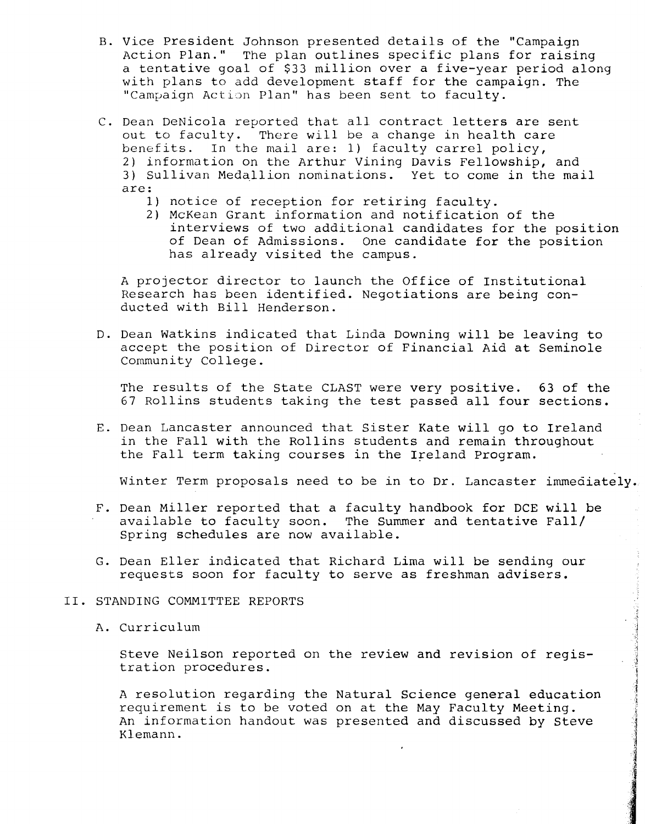- B. Vice President Johnson presented details of the "Campaign Action Plan." The plan outlines specific plans for raising a tentative goal of \$33 million over a five-year period along with plans to add development staff for the campaign. The "Campaign Action Plan" has been sent to faculty.
- C. Dean DeNicola reported that all contract letters are sent out to faculty. There will be a change in health care benefits. In the mail are: 1) faculty carrel policy, 2) information on the Arthur Vining Davis Fellowship, and 3) Sullivan Medallion nominations. Yet to come in the mail are:
	- 1) notice of reception for retiring faculty.
	- 2) McKean Grant information and notification of the interviews of two additional candidates for the position of Dean of Admissions. One candidate for the position has already visited the campus.

A projector director to launch the Office of Institutional Research has been identified. Negotiations are being conducted with Bill Henderson.

D. Dean Watkins indicated that Linda Downing will be leaving to accept the position of Director of Financial Aid at Seminole Community College.

The results of the State CLAST were very positive. 63 of the 67 Rollins students taking the test passed all four sections.

E. Dean Lancaster announced that Sister Kate will go to Ireland *in* the Fall with the Rollins students and remain throughout the Fall term taking courses in the Ireland Program.

Winter Term proposals need to be in to Dr. Lancaster immediately.

- F. Dean Miller reported that a faculty handbook for DCE will be available to faculty soon. The Summer and tentative Fall/ Spring schedules are now available.
- G. Dean Eller indicated that Richard Lima will be sending our requests soon for faculty to serve as freshman advisers.
- II. STANDING COMMITTEE REPORTS
	- A. Curriculum

Steve Neilson reported on the review and revision of registration procedures.

A resolution regarding the Natural Science general education requirement is to be voted on at the May Faculty Meeting. An information handout was presented and discussed by Steve Klemann.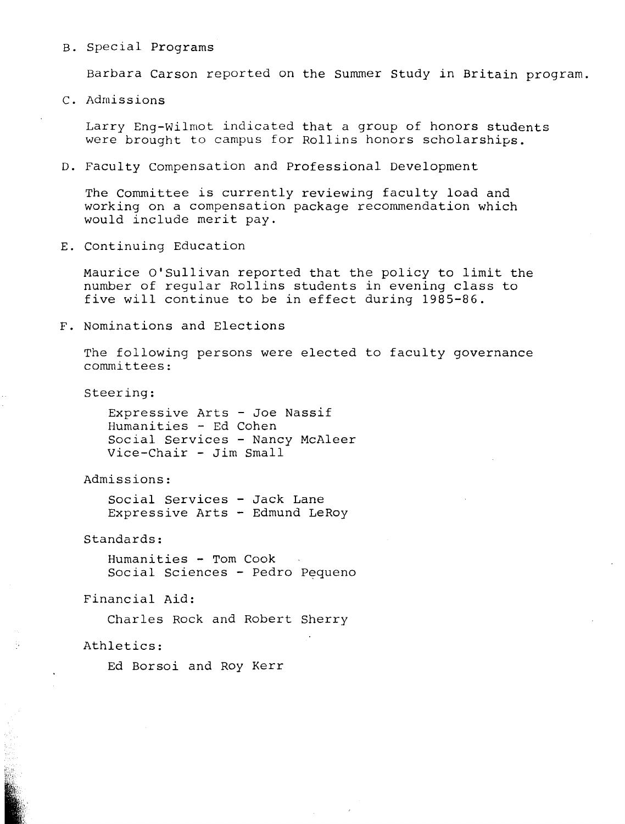#### B. Special Programs

Barbara Carson reported on the Summer Study in Britain program.

c. Admissions

Larry Eng-Wilmot indicated that a group of honors students were brought to campus for Rollins honors scholarships.

D. Faculty Compensation and Professional Development

The Committee is currently reviewing faculty load and working on a compensation package recommendation which would include merit pay.

E. Continuing Education

Maurice O'Sullivan reported that the policy to limit the number of regular Rollins students in evening class to five will continue to be in effect during 1985-86.

F. Nominations and Elections

The following persons were elected to faculty governance committees:

Steering:

Expressive Arts - Joe Nassif Humanities - Ed Cohen Social Services - Nancy McAleer Vice-Chair - Jim Small

Admissions:

Social Services - Jack Lane Expressive Arts - Edmund LeRoy

Standards:

Humanities - Tom Cook Social Sciences - Pedro Pequeno

Financial Aid:

Charles Rock and Robert Sherry

Athletics:

Ed Borsoi and Roy Kerr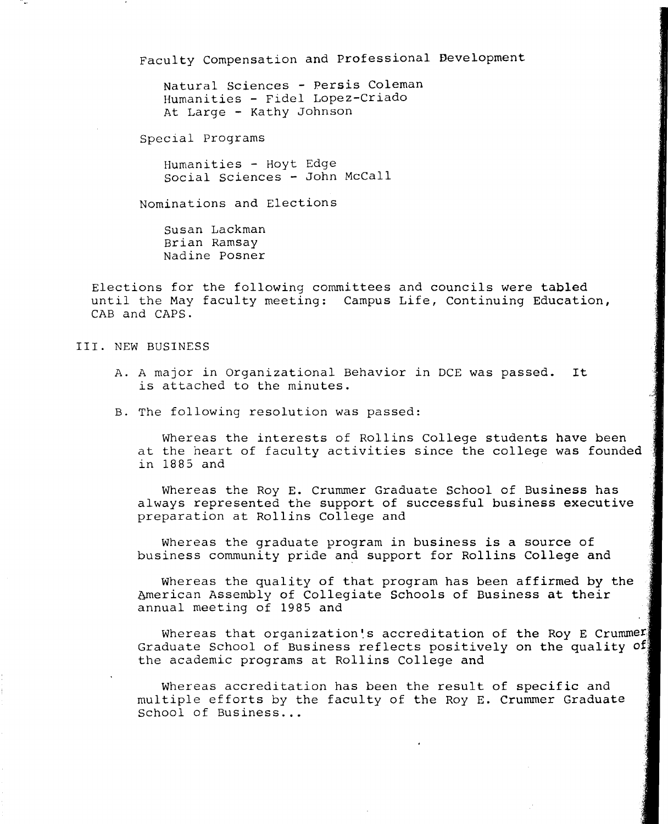Faculty Compensation and Professional Development

Natural Sciences - Persis Coleman Humanities - Fidel Lopez-Criado At Large - Kathy Johnson

Special Programs

Humanities - Hoyt Edge social Sciences - John McCall

Nominations and Elections

Susan Lackman Brian Ramsay Nadine Posner

Elections for the following committees and councils were tabled until the May faculty meeting: Campus Life, Continuing Education, CAB and CAPS.

III. NEW BUSINESS

- A. A major in Organizational Behavior in DCE was passed. It is attached to the minutes.
- B. The following resolution was passed:

Whereas the interests of Rollins College students have been at the heart of faculty activities since the college was founded in 1885 and

Whereas the Roy E. Crummer Graduate School of Business has always represented the support of successful business executive preparation at Rollins College and

Whereas the graduate program in business is a source of business community pride and support for Rollins College and

Whereas the quality of that program has been affirmed by the American Assembly of Collegiate Schools of Business at their annual meeting of 1985 and

.,

Whereas that organization's accreditation of the Roy E Crummer Graduate School of Business reflects positively on the quality of the academic programs at Rollins College and

Whereas accreditation has been the result of specific and multiple efforts by the faculty of the Roy E. Crummer Graduate School of Business...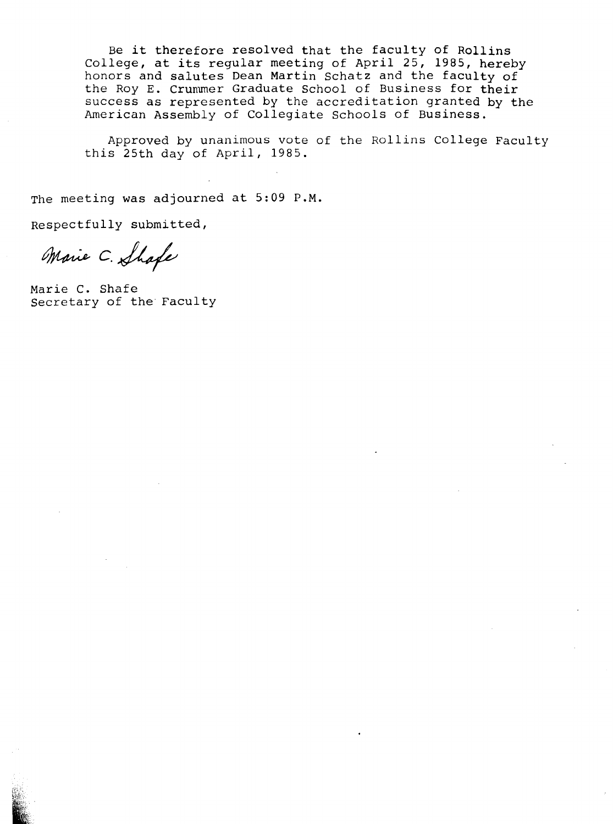Be it therefore resolved that the faculty of Rollins De it therefore resorved that the rucurey of ROITINS<br>College, at its regular meeting of April 25, 1985, hereby honors and salutes Dean Martin Schatz and the faculty of the Roy E. Crummer Graduate School of Business for their success as represented by the accreditation granted by the American Assembly of Collegiate Schools of Business.

Approved by unanimous vote of the Rollins College Faculty this 25th day of April, 1985.

The meeting was adjourned at 5:09 P.M.

Respectfully submitted,

Marie C. Shafe

Marie c. Shafe Secretary of the Faculty